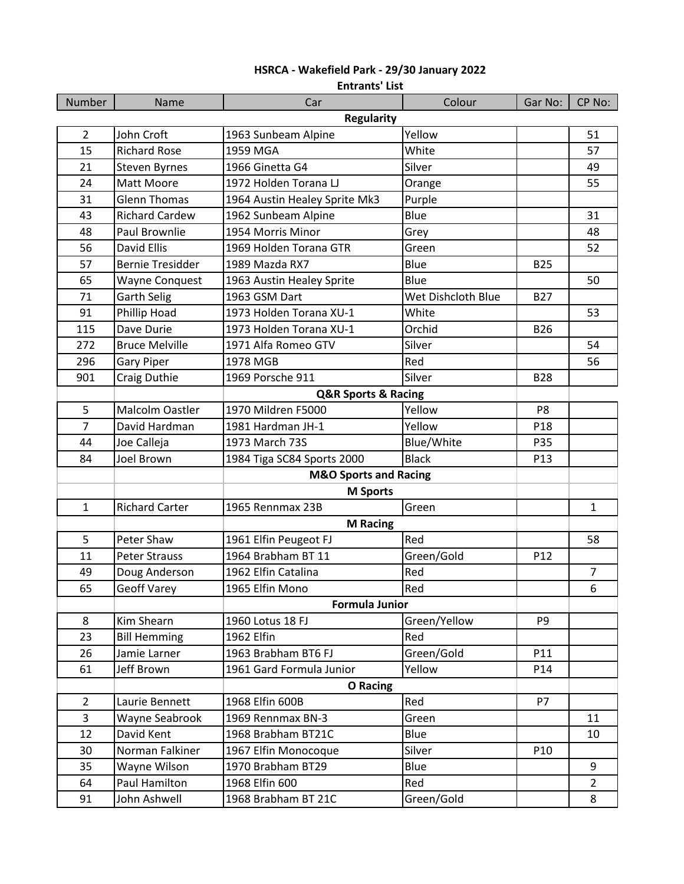|                   | <b>Entrants' List</b>              |                                  |                    |                 |                |  |
|-------------------|------------------------------------|----------------------------------|--------------------|-----------------|----------------|--|
| Number            | Name                               | Car                              | Colour             | Gar No:         | CP No:         |  |
| <b>Regularity</b> |                                    |                                  |                    |                 |                |  |
| $\overline{2}$    | John Croft                         | 1963 Sunbeam Alpine              | Yellow             |                 | 51             |  |
| 15                | <b>Richard Rose</b>                | 1959 MGA                         | White              |                 | 57             |  |
| 21                | Steven Byrnes                      | 1966 Ginetta G4                  | Silver             |                 | 49             |  |
| 24                | Matt Moore                         | 1972 Holden Torana LJ            | Orange             |                 | 55             |  |
| 31                | <b>Glenn Thomas</b>                | 1964 Austin Healey Sprite Mk3    | Purple             |                 |                |  |
| 43                | <b>Richard Cardew</b>              | 1962 Sunbeam Alpine              | Blue               |                 | 31             |  |
| 48                | Paul Brownlie                      | 1954 Morris Minor                | Grey               |                 | 48             |  |
| 56                | <b>David Ellis</b>                 | 1969 Holden Torana GTR           | Green              |                 | 52             |  |
| 57                | <b>Bernie Tresidder</b>            | 1989 Mazda RX7                   | Blue               | <b>B25</b>      |                |  |
| 65                | <b>Wayne Conquest</b>              | 1963 Austin Healey Sprite        | Blue               |                 | 50             |  |
| 71                | <b>Garth Selig</b>                 | 1963 GSM Dart                    | Wet Dishcloth Blue | <b>B27</b>      |                |  |
| 91                | Phillip Hoad                       | 1973 Holden Torana XU-1          | White              |                 | 53             |  |
| 115               | Dave Durie                         | 1973 Holden Torana XU-1          | Orchid             | <b>B26</b>      |                |  |
| 272               | <b>Bruce Melville</b>              | 1971 Alfa Romeo GTV              | Silver             |                 | 54             |  |
| 296               | <b>Gary Piper</b>                  | 1978 MGB                         | Red                |                 | 56             |  |
| 901               | Craig Duthie                       | 1969 Porsche 911                 | Silver             | <b>B28</b>      |                |  |
|                   | <b>Q&amp;R Sports &amp; Racing</b> |                                  |                    |                 |                |  |
| 5                 | Malcolm Oastler                    | 1970 Mildren F5000               | Yellow             | P8              |                |  |
| $\overline{7}$    | David Hardman                      | 1981 Hardman JH-1                | Yellow             | P18             |                |  |
| 44                | Joe Calleja                        | 1973 March 73S                   | Blue/White         | P35             |                |  |
| 84                | <b>Joel Brown</b>                  | 1984 Tiga SC84 Sports 2000       | <b>Black</b>       | P13             |                |  |
|                   |                                    | <b>M&amp;O Sports and Racing</b> |                    |                 |                |  |
|                   |                                    | <b>M</b> Sports                  |                    |                 |                |  |
| $\mathbf{1}$      | <b>Richard Carter</b>              | 1965 Rennmax 23B                 | Green              |                 | 1              |  |
|                   |                                    | <b>M Racing</b>                  |                    |                 |                |  |
| 5                 | Peter Shaw                         | 1961 Elfin Peugeot FJ            | Red                |                 | 58             |  |
| 11                | <b>Peter Strauss</b>               | 1964 Brabham BT 11               | Green/Gold         | P <sub>12</sub> |                |  |
| 49                | Doug Anderson                      | 1962 Elfin Catalina              | Red                |                 | $\overline{7}$ |  |
| 65                | <b>Geoff Varey</b>                 | 1965 Elfin Mono                  | Red                |                 | 6              |  |
|                   |                                    | <b>Formula Junior</b>            |                    |                 |                |  |
| 8                 | Kim Shearn                         | 1960 Lotus 18 FJ                 | Green/Yellow       | P9              |                |  |
| 23                | <b>Bill Hemming</b>                | 1962 Elfin                       | Red                |                 |                |  |
| 26                | Jamie Larner                       | 1963 Brabham BT6 FJ              | Green/Gold         | P11             |                |  |
| 61                | <b>Jeff Brown</b>                  | 1961 Gard Formula Junior         | Yellow             | P14             |                |  |
|                   | <b>O</b> Racing                    |                                  |                    |                 |                |  |
| $\overline{2}$    | Laurie Bennett                     | 1968 Elfin 600B                  | Red                | P7              |                |  |
| 3                 | Wayne Seabrook                     | 1969 Rennmax BN-3                | Green              |                 | 11             |  |
| 12                | David Kent                         | 1968 Brabham BT21C               | Blue               |                 | 10             |  |
| 30                | Norman Falkiner                    | 1967 Elfin Monocoque             | Silver             | P10             |                |  |
| 35                | Wayne Wilson                       | 1970 Brabham BT29                | Blue               |                 | 9              |  |
| 64                | Paul Hamilton                      | 1968 Elfin 600                   | Red                |                 | $\overline{2}$ |  |
| 91                | John Ashwell                       | 1968 Brabham BT 21C              | Green/Gold         |                 | 8              |  |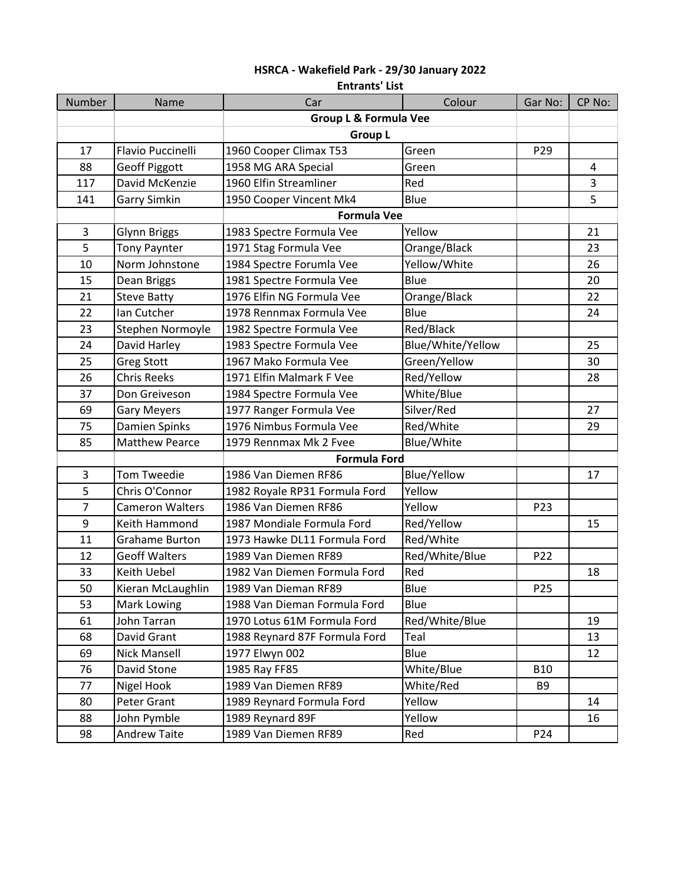|                | <b>Entrants' List</b>  |                                            |                   |                 |        |  |
|----------------|------------------------|--------------------------------------------|-------------------|-----------------|--------|--|
| Number         | Name                   | Car                                        | Colour            | Gar No:         | CP No: |  |
|                |                        | <b>Group L &amp; Formula Vee</b>           |                   |                 |        |  |
|                |                        | <b>Group L</b><br>Green<br>P <sub>29</sub> |                   |                 |        |  |
| 17             | Flavio Puccinelli      | 1960 Cooper Climax T53                     |                   |                 |        |  |
| 88             | <b>Geoff Piggott</b>   | 1958 MG ARA Special                        | Green             |                 | 4      |  |
| 117            | David McKenzie         | 1960 Elfin Streamliner                     | Red               |                 | 3      |  |
| 141            | <b>Garry Simkin</b>    | 1950 Cooper Vincent Mk4                    | Blue              |                 | 5      |  |
|                |                        | <b>Formula Vee</b>                         |                   |                 |        |  |
| 3              | <b>Glynn Briggs</b>    | 1983 Spectre Formula Vee                   | Yellow            |                 | 21     |  |
| 5              | <b>Tony Paynter</b>    | 1971 Stag Formula Vee                      | Orange/Black      |                 | 23     |  |
| 10             | Norm Johnstone         | 1984 Spectre Forumla Vee                   | Yellow/White      |                 | 26     |  |
| 15             | Dean Briggs            | 1981 Spectre Formula Vee                   | Blue              |                 | 20     |  |
| 21             | <b>Steve Batty</b>     | 1976 Elfin NG Formula Vee                  | Orange/Black      |                 | 22     |  |
| 22             | Ian Cutcher            | 1978 Rennmax Formula Vee                   | Blue              |                 | 24     |  |
| 23             | Stephen Normoyle       | 1982 Spectre Formula Vee                   | Red/Black         |                 |        |  |
| 24             | David Harley           | 1983 Spectre Formula Vee                   | Blue/White/Yellow |                 | 25     |  |
| 25             | <b>Greg Stott</b>      | 1967 Mako Formula Vee                      | Green/Yellow      |                 | 30     |  |
| 26             | <b>Chris Reeks</b>     | 1971 Elfin Malmark F Vee                   | Red/Yellow        |                 | 28     |  |
| 37             | Don Greiveson          | 1984 Spectre Formula Vee                   | White/Blue        |                 |        |  |
| 69             | <b>Gary Meyers</b>     | 1977 Ranger Formula Vee                    | Silver/Red        |                 | 27     |  |
| 75             | Damien Spinks          | 1976 Nimbus Formula Vee                    | Red/White         |                 | 29     |  |
| 85             | <b>Matthew Pearce</b>  | 1979 Rennmax Mk 2 Fvee                     | Blue/White        |                 |        |  |
|                |                        | <b>Formula Ford</b>                        |                   |                 |        |  |
| 3              | <b>Tom Tweedie</b>     | 1986 Van Diemen RF86                       | Blue/Yellow       |                 | 17     |  |
| 5              | Chris O'Connor         | 1982 Royale RP31 Formula Ford              | Yellow            |                 |        |  |
| $\overline{7}$ | <b>Cameron Walters</b> | 1986 Van Diemen RF86                       | Yellow            | P23             |        |  |
| 9              | Keith Hammond          | 1987 Mondiale Formula Ford                 | Red/Yellow        |                 | 15     |  |
| 11             | <b>Grahame Burton</b>  | 1973 Hawke DL11 Formula Ford               | Red/White         |                 |        |  |
| 12             | <b>Geoff Walters</b>   | 1989 Van Diemen RF89                       | Red/White/Blue    | P22             |        |  |
| 33             | <b>Keith Uebel</b>     | 1982 Van Diemen Formula Ford               | Red               |                 | 18     |  |
| 50             | Kieran McLaughlin      | 1989 Van Dieman RF89                       | Blue              | P <sub>25</sub> |        |  |
| 53             | Mark Lowing            | 1988 Van Dieman Formula Ford               | Blue              |                 |        |  |
| 61             | John Tarran            | 1970 Lotus 61M Formula Ford                | Red/White/Blue    |                 | 19     |  |
| 68             | David Grant            | 1988 Reynard 87F Formula Ford              | Teal              |                 | 13     |  |
| 69             | <b>Nick Mansell</b>    | 1977 Elwyn 002                             | Blue              |                 | 12     |  |
| 76             | David Stone            | 1985 Ray FF85                              | White/Blue        | <b>B10</b>      |        |  |
| 77             | Nigel Hook             | 1989 Van Diemen RF89                       | White/Red         | B <sub>9</sub>  |        |  |
| 80             | Peter Grant            | 1989 Reynard Formula Ford                  | Yellow            |                 | 14     |  |
| 88             | John Pymble            | 1989 Reynard 89F                           | Yellow            |                 | 16     |  |
| 98             | Andrew Taite           | 1989 Van Diemen RF89                       | Red               | P24             |        |  |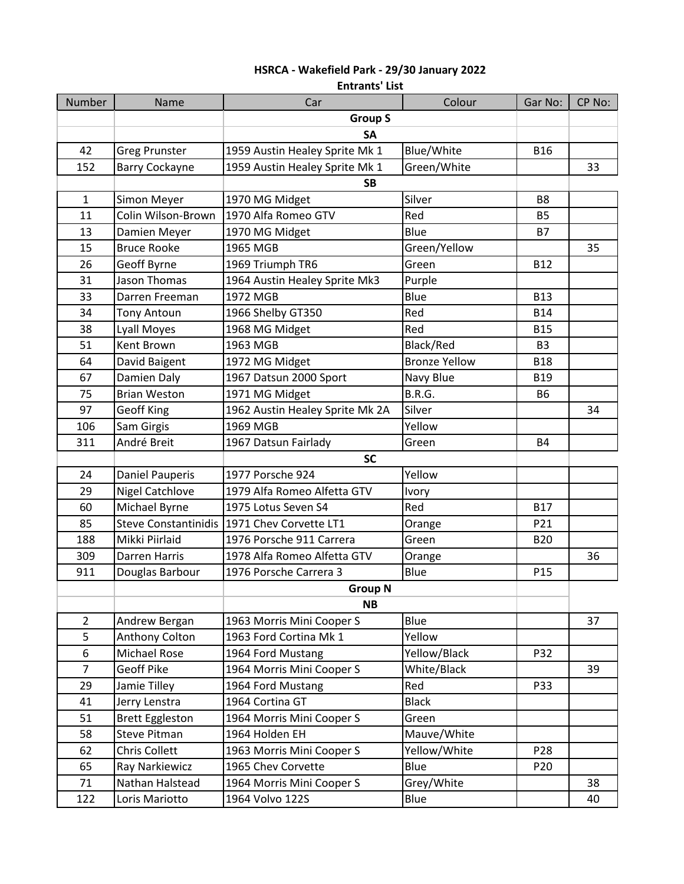|                | <b>Entrants' List</b>       |                                 |                      |                 |        |  |  |
|----------------|-----------------------------|---------------------------------|----------------------|-----------------|--------|--|--|
| Number         | Name                        | Car                             | Colour               | Gar No:         | CP No: |  |  |
|                |                             | <b>Group S</b>                  |                      |                 |        |  |  |
|                |                             | <b>SA</b>                       |                      |                 |        |  |  |
| 42             | <b>Greg Prunster</b>        | 1959 Austin Healey Sprite Mk 1  | Blue/White           | <b>B16</b>      |        |  |  |
| 152            | <b>Barry Cockayne</b>       | 1959 Austin Healey Sprite Mk 1  | Green/White          |                 | 33     |  |  |
|                |                             | <b>SB</b>                       |                      |                 |        |  |  |
| $\mathbf{1}$   | Simon Meyer                 | 1970 MG Midget                  | Silver               | B <sub>8</sub>  |        |  |  |
| 11             | Colin Wilson-Brown          | 1970 Alfa Romeo GTV             | Red                  | <b>B5</b>       |        |  |  |
| 13             | Damien Meyer                | 1970 MG Midget                  | Blue                 | <b>B7</b>       |        |  |  |
| 15             | <b>Bruce Rooke</b>          | 1965 MGB                        | Green/Yellow         |                 | 35     |  |  |
| 26             | Geoff Byrne                 | 1969 Triumph TR6                | Green                | <b>B12</b>      |        |  |  |
| 31             | Jason Thomas                | 1964 Austin Healey Sprite Mk3   | Purple               |                 |        |  |  |
| 33             | Darren Freeman              | 1972 MGB                        | Blue                 | <b>B13</b>      |        |  |  |
| 34             | <b>Tony Antoun</b>          | 1966 Shelby GT350               | Red                  | <b>B14</b>      |        |  |  |
| 38             | Lyall Moyes                 | 1968 MG Midget                  | Red                  | <b>B15</b>      |        |  |  |
| 51             | <b>Kent Brown</b>           | 1963 MGB                        | Black/Red            | B <sub>3</sub>  |        |  |  |
| 64             | David Baigent               | 1972 MG Midget                  | <b>Bronze Yellow</b> | <b>B18</b>      |        |  |  |
| 67             | Damien Daly                 | 1967 Datsun 2000 Sport          | Navy Blue            | <b>B19</b>      |        |  |  |
| 75             | <b>Brian Weston</b>         | 1971 MG Midget                  | <b>B.R.G.</b>        | <b>B6</b>       |        |  |  |
| 97             | <b>Geoff King</b>           | 1962 Austin Healey Sprite Mk 2A | Silver               |                 | 34     |  |  |
| 106            | Sam Girgis                  | 1969 MGB                        | Yellow               |                 |        |  |  |
| 311            | André Breit                 | 1967 Datsun Fairlady            | Green                | <b>B4</b>       |        |  |  |
|                |                             | <b>SC</b>                       |                      |                 |        |  |  |
| 24             | <b>Daniel Pauperis</b>      | 1977 Porsche 924                | Yellow               |                 |        |  |  |
| 29             | <b>Nigel Catchlove</b>      | 1979 Alfa Romeo Alfetta GTV     | Ivory                |                 |        |  |  |
| 60             | Michael Byrne               | 1975 Lotus Seven S4             | Red                  | <b>B17</b>      |        |  |  |
| 85             | <b>Steve Constantinidis</b> | 1971 Chev Corvette LT1          | Orange               | P21             |        |  |  |
| 188            | Mikki Piirlaid              | 1976 Porsche 911 Carrera        | Green                | <b>B20</b>      |        |  |  |
| 309            | Darren Harris               | 1978 Alfa Romeo Alfetta GTV     | Orange               |                 | 36     |  |  |
| 911            | Douglas Barbour             | 1976 Porsche Carrera 3          | Blue                 | P <sub>15</sub> |        |  |  |
|                |                             | <b>Group N</b>                  |                      |                 |        |  |  |
|                | <b>NB</b>                   |                                 |                      |                 |        |  |  |
| $\overline{2}$ | Andrew Bergan               | 1963 Morris Mini Cooper S       | Blue                 |                 | 37     |  |  |
| 5              | Anthony Colton              | 1963 Ford Cortina Mk 1          | Yellow               |                 |        |  |  |
| 6              | Michael Rose                | 1964 Ford Mustang               | Yellow/Black         | P32             |        |  |  |
| $\overline{7}$ | <b>Geoff Pike</b>           | 1964 Morris Mini Cooper S       | White/Black          |                 | 39     |  |  |
| 29             | Jamie Tilley                | 1964 Ford Mustang               | Red                  | P33             |        |  |  |
| 41             | Jerry Lenstra               | 1964 Cortina GT                 | <b>Black</b>         |                 |        |  |  |
| 51             | <b>Brett Eggleston</b>      | 1964 Morris Mini Cooper S       | Green                |                 |        |  |  |
| 58             | <b>Steve Pitman</b>         | 1964 Holden EH                  | Mauve/White          |                 |        |  |  |
| 62             | <b>Chris Collett</b>        | 1963 Morris Mini Cooper S       | Yellow/White         | P <sub>28</sub> |        |  |  |
| 65             | Ray Narkiewicz              | 1965 Chev Corvette              | Blue                 | P <sub>20</sub> |        |  |  |
| 71             | Nathan Halstead             | 1964 Morris Mini Cooper S       | Grey/White           |                 | 38     |  |  |
| 122            | Loris Mariotto              | 1964 Volvo 122S                 | Blue                 |                 | 40     |  |  |